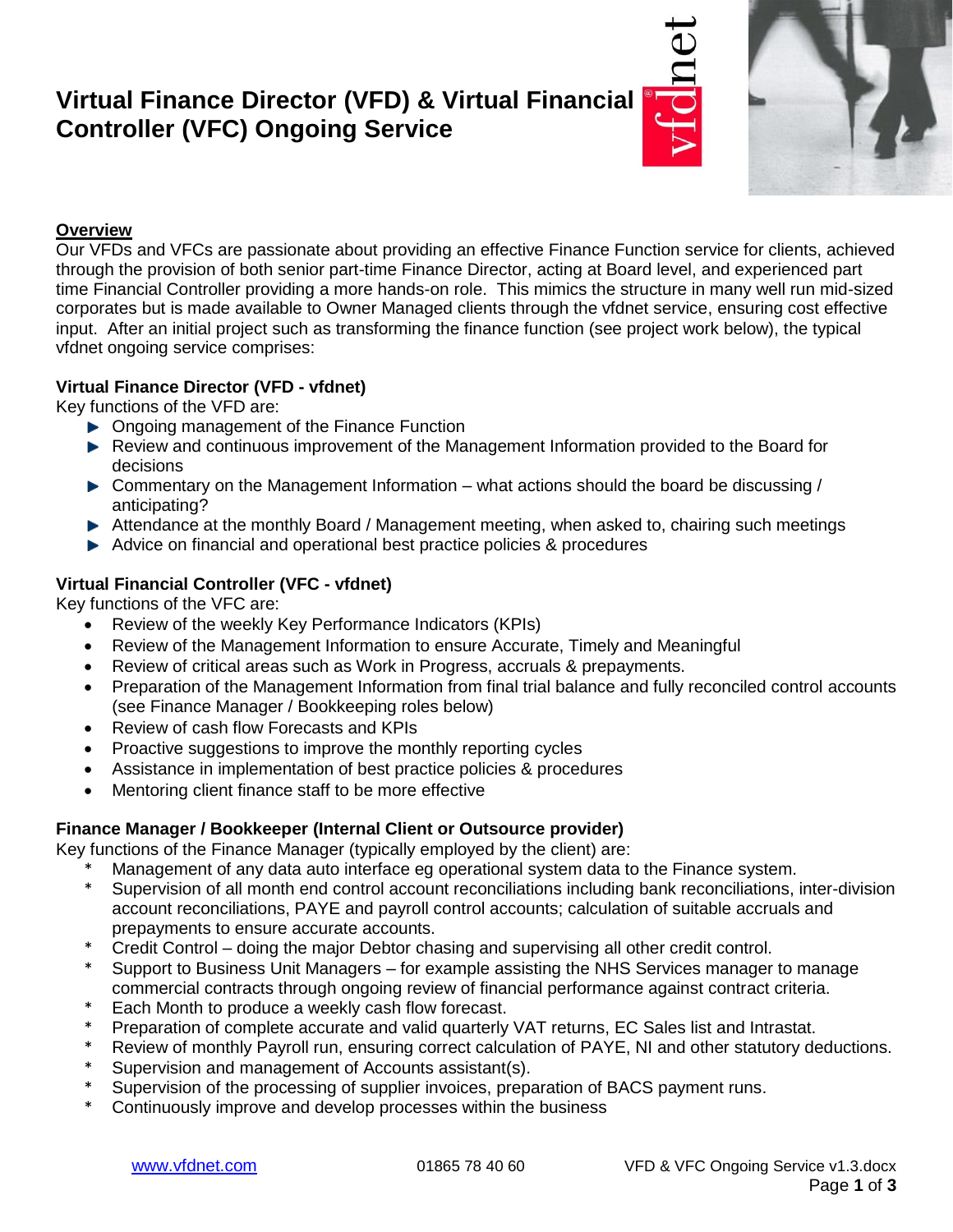# **Virtual Finance Director (VFD) & Virtual Financial Controller (VFC) Ongoing Service**





### **Overview**

Our VFDs and VFCs are passionate about providing an effective Finance Function service for clients, achieved through the provision of both senior part-time Finance Director, acting at Board level, and experienced part time Financial Controller providing a more hands-on role. This mimics the structure in many well run mid-sized corporates but is made available to Owner Managed clients through the vfdnet service, ensuring cost effective input. After an initial project such as transforming the finance function (see project work below), the typical vfdnet ongoing service comprises:

#### **Virtual Finance Director (VFD - vfdnet)**

Key functions of the VFD are:

- ▶ Ongoing management of the Finance Function
- Review and continuous improvement of the Management Information provided to the Board for decisions
- ▶ Commentary on the Management Information what actions should the board be discussing / anticipating?
- Attendance at the monthly Board / Management meeting, when asked to, chairing such meetings
- Advice on financial and operational best practice policies & procedures

## **Virtual Financial Controller (VFC - vfdnet)**

Key functions of the VFC are:

- Review of the weekly Key Performance Indicators (KPIs)
- Review of the Management Information to ensure Accurate, Timely and Meaningful
- Review of critical areas such as Work in Progress, accruals & prepayments.
- Preparation of the Management Information from final trial balance and fully reconciled control accounts (see Finance Manager / Bookkeeping roles below)
- Review of cash flow Forecasts and KPIs
- Proactive suggestions to improve the monthly reporting cycles
- Assistance in implementation of best practice policies & procedures
- Mentoring client finance staff to be more effective

### **Finance Manager / Bookkeeper (Internal Client or Outsource provider)**

Key functions of the Finance Manager (typically employed by the client) are:

- Management of any data auto interface eg operational system data to the Finance system.
- Supervision of all month end control account reconciliations including bank reconciliations, inter-division account reconciliations, PAYE and payroll control accounts; calculation of suitable accruals and prepayments to ensure accurate accounts.
- \* Credit Control doing the major Debtor chasing and supervising all other credit control.
- Support to Business Unit Managers for example assisting the NHS Services manager to manage commercial contracts through ongoing review of financial performance against contract criteria.
- \* Each Month to produce a weekly cash flow forecast.
- Preparation of complete accurate and valid quarterly VAT returns, EC Sales list and Intrastat.
- \* Review of monthly Payroll run, ensuring correct calculation of PAYE, NI and other statutory deductions.
- \* Supervision and management of Accounts assistant(s).
- Supervision of the processing of supplier invoices, preparation of BACS payment runs.
- Continuously improve and develop processes within the business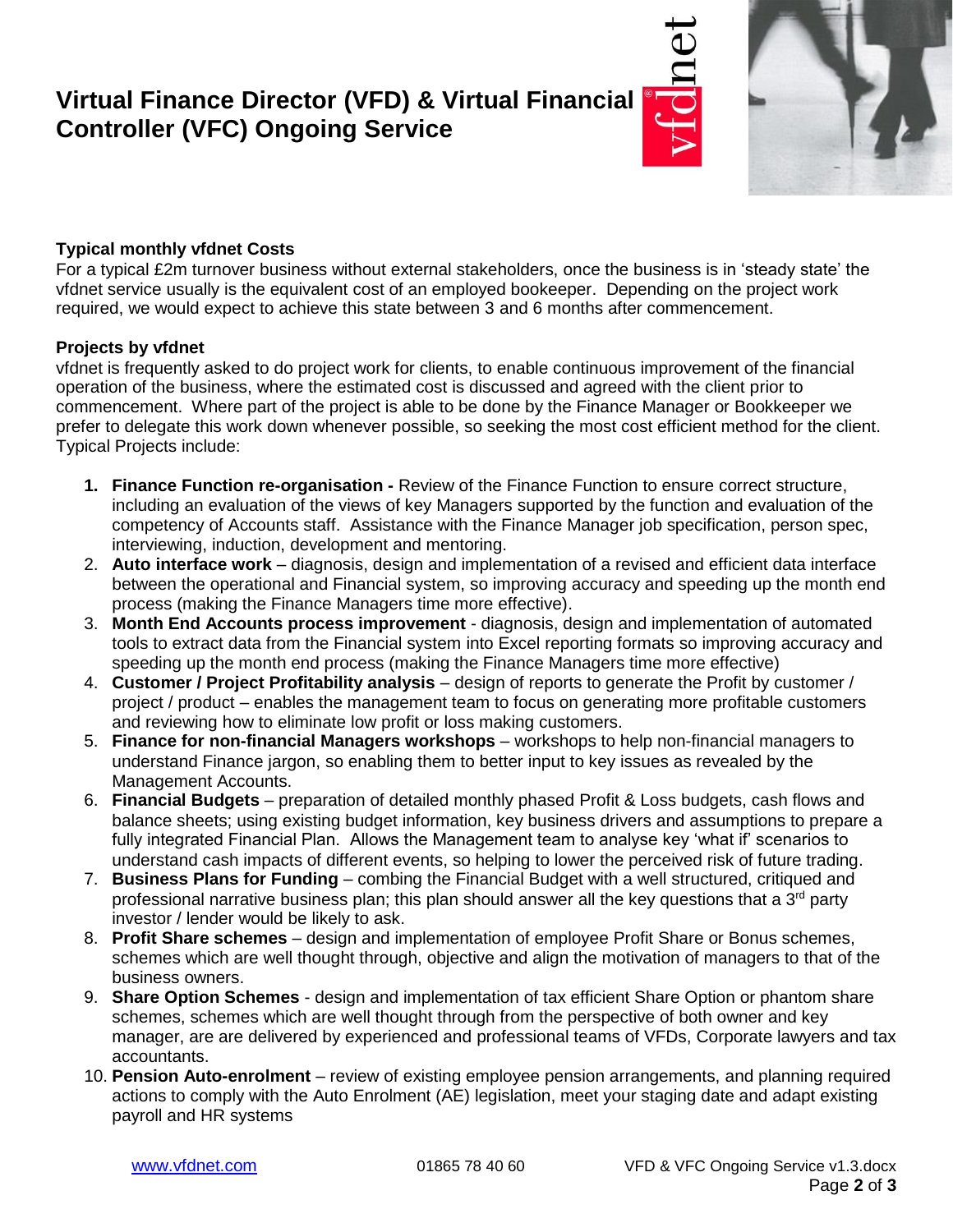## **Virtual Finance Director (VFD) & Virtual Financial Controller (VFC) Ongoing Service**





### **Typical monthly vfdnet Costs**

For a typical £2m turnover business without external stakeholders, once the business is in 'steady state' the vfdnet service usually is the equivalent cost of an employed bookeeper. Depending on the project work required, we would expect to achieve this state between 3 and 6 months after commencement.

#### **Projects by vfdnet**

vfdnet is frequently asked to do project work for clients, to enable continuous improvement of the financial operation of the business, where the estimated cost is discussed and agreed with the client prior to commencement. Where part of the project is able to be done by the Finance Manager or Bookkeeper we prefer to delegate this work down whenever possible, so seeking the most cost efficient method for the client. Typical Projects include:

- **1. Finance Function re-organisation -** Review of the Finance Function to ensure correct structure, including an evaluation of the views of key Managers supported by the function and evaluation of the competency of Accounts staff. Assistance with the Finance Manager job specification, person spec, interviewing, induction, development and mentoring.
- 2. **Auto interface work** diagnosis, design and implementation of a revised and efficient data interface between the operational and Financial system, so improving accuracy and speeding up the month end process (making the Finance Managers time more effective).
- 3. **Month End Accounts process improvement** diagnosis, design and implementation of automated tools to extract data from the Financial system into Excel reporting formats so improving accuracy and speeding up the month end process (making the Finance Managers time more effective)
- 4. **Customer / Project Profitability analysis** design of reports to generate the Profit by customer / project / product – enables the management team to focus on generating more profitable customers and reviewing how to eliminate low profit or loss making customers.
- 5. **Finance for non-financial Managers workshops** workshops to help non-financial managers to understand Finance jargon, so enabling them to better input to key issues as revealed by the Management Accounts.
- 6. **Financial Budgets**  preparation of detailed monthly phased Profit & Loss budgets, cash flows and balance sheets; using existing budget information, key business drivers and assumptions to prepare a fully integrated Financial Plan. Allows the Management team to analyse key 'what if' scenarios to understand cash impacts of different events, so helping to lower the perceived risk of future trading.
- 7. **Business Plans for Funding**  combing the Financial Budget with a well structured, critiqued and professional narrative business plan; this plan should answer all the key questions that a  $3<sup>rd</sup>$  party investor / lender would be likely to ask.
- 8. **Profit Share schemes**  design and implementation of employee Profit Share or Bonus schemes, schemes which are well thought through, objective and align the motivation of managers to that of the business owners.
- 9. **Share Option Schemes**  design and implementation of tax efficient Share Option or phantom share schemes, schemes which are well thought through from the perspective of both owner and key manager, are are delivered by experienced and professional teams of VFDs, Corporate lawyers and tax accountants.
- 10. **Pension Auto-enrolment** review of existing employee pension arrangements, and planning required actions to comply with the Auto Enrolment (AE) legislation, meet your staging date and adapt existing payroll and HR systems